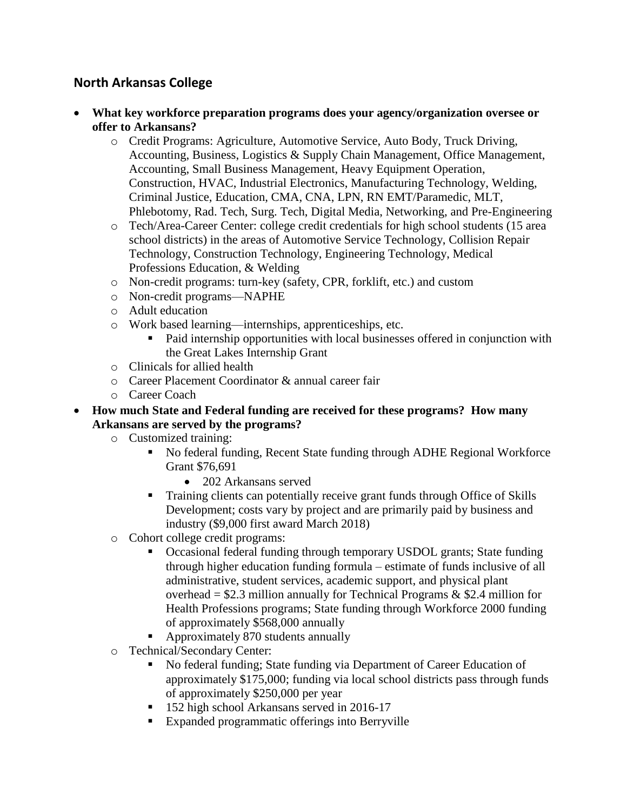## **North Arkansas College**

- **What key workforce preparation programs does your agency/organization oversee or offer to Arkansans?**
	- o Credit Programs: Agriculture, Automotive Service, Auto Body, Truck Driving, Accounting, Business, Logistics & Supply Chain Management, Office Management, Accounting, Small Business Management, Heavy Equipment Operation, Construction, HVAC, Industrial Electronics, Manufacturing Technology, Welding, Criminal Justice, Education, CMA, CNA, LPN, RN EMT/Paramedic, MLT, Phlebotomy, Rad. Tech, Surg. Tech, Digital Media, Networking, and Pre-Engineering
	- o Tech/Area-Career Center: college credit credentials for high school students (15 area school districts) in the areas of Automotive Service Technology, Collision Repair Technology, Construction Technology, Engineering Technology, Medical Professions Education, & Welding
	- o Non-credit programs: turn-key (safety, CPR, forklift, etc.) and custom
	- o Non-credit programs—NAPHE
	- o Adult education
	- o Work based learning—internships, apprenticeships, etc.
		- Paid internship opportunities with local businesses offered in conjunction with the Great Lakes Internship Grant
	- o Clinicals for allied health
	- o Career Placement Coordinator & annual career fair
	- o Career Coach
- **How much State and Federal funding are received for these programs? How many Arkansans are served by the programs?**
	- o Customized training:
		- No federal funding, Recent State funding through ADHE Regional Workforce Grant \$76,691
			- 202 Arkansans served
		- Training clients can potentially receive grant funds through Office of Skills Development; costs vary by project and are primarily paid by business and industry (\$9,000 first award March 2018)
	- o Cohort college credit programs:
		- Occasional federal funding through temporary USDOL grants; State funding through higher education funding formula – estimate of funds inclusive of all administrative, student services, academic support, and physical plant overhead =  $$2.3$  million annually for Technical Programs &  $$2.4$  million for Health Professions programs; State funding through Workforce 2000 funding of approximately \$568,000 annually
		- Approximately 870 students annually
	- o Technical/Secondary Center:
		- No federal funding; State funding via Department of Career Education of approximately \$175,000; funding via local school districts pass through funds of approximately \$250,000 per year
		- <sup>1</sup> 152 high school Arkansans served in 2016-17
		- Expanded programmatic offerings into Berryville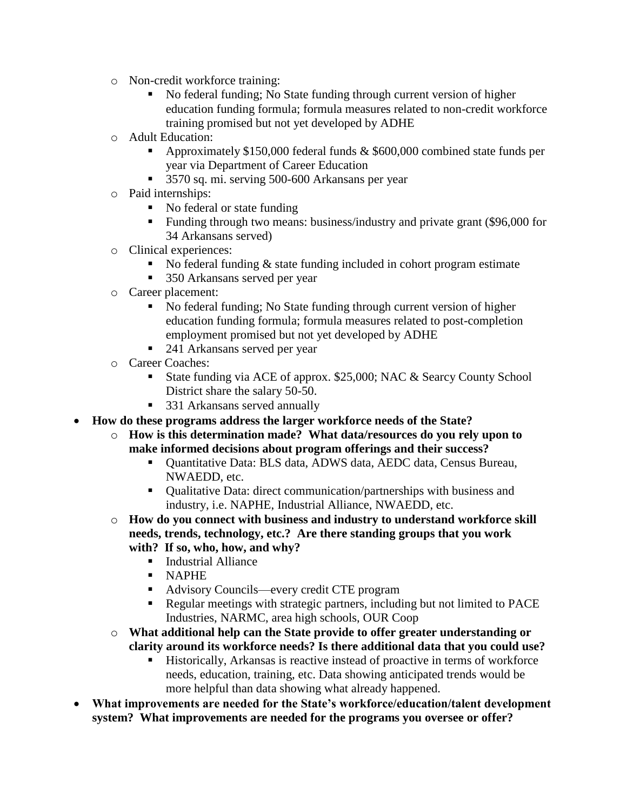- o Non-credit workforce training:
	- No federal funding; No State funding through current version of higher education funding formula; formula measures related to non-credit workforce training promised but not yet developed by ADHE
- o Adult Education:
	- Approximately \$150,000 federal funds & \$600,000 combined state funds per year via Department of Career Education
	- 3570 sq. mi. serving 500-600 Arkansans per year
- o Paid internships:
	- No federal or state funding
	- Funding through two means: business/industry and private grant (\$96,000 for 34 Arkansans served)
- o Clinical experiences:
	- No federal funding & state funding included in cohort program estimate
	- 350 Arkansans served per year
- o Career placement:
	- No federal funding; No State funding through current version of higher education funding formula; formula measures related to post-completion employment promised but not yet developed by ADHE
	- 241 Arkansans served per year
- o Career Coaches:
	- State funding via ACE of approx. \$25,000; NAC & Searcy County School District share the salary 50-50.
	- 331 Arkansans served annually
- **How do these programs address the larger workforce needs of the State?**
	- o **How is this determination made? What data/resources do you rely upon to make informed decisions about program offerings and their success?**
		- Ouantitative Data: BLS data, ADWS data, AEDC data, Census Bureau, NWAEDD, etc.
		- Qualitative Data: direct communication/partnerships with business and industry, i.e. NAPHE, Industrial Alliance, NWAEDD, etc.
	- o **How do you connect with business and industry to understand workforce skill needs, trends, technology, etc.? Are there standing groups that you work with? If so, who, how, and why?**
		- **Industrial Alliance**
		- NAPHE
		- Advisory Councils—every credit CTE program
		- Regular meetings with strategic partners, including but not limited to PACE Industries, NARMC, area high schools, OUR Coop
	- o **What additional help can the State provide to offer greater understanding or clarity around its workforce needs? Is there additional data that you could use?**
		- Historically, Arkansas is reactive instead of proactive in terms of workforce needs, education, training, etc. Data showing anticipated trends would be more helpful than data showing what already happened.
- **What improvements are needed for the State's workforce/education/talent development system? What improvements are needed for the programs you oversee or offer?**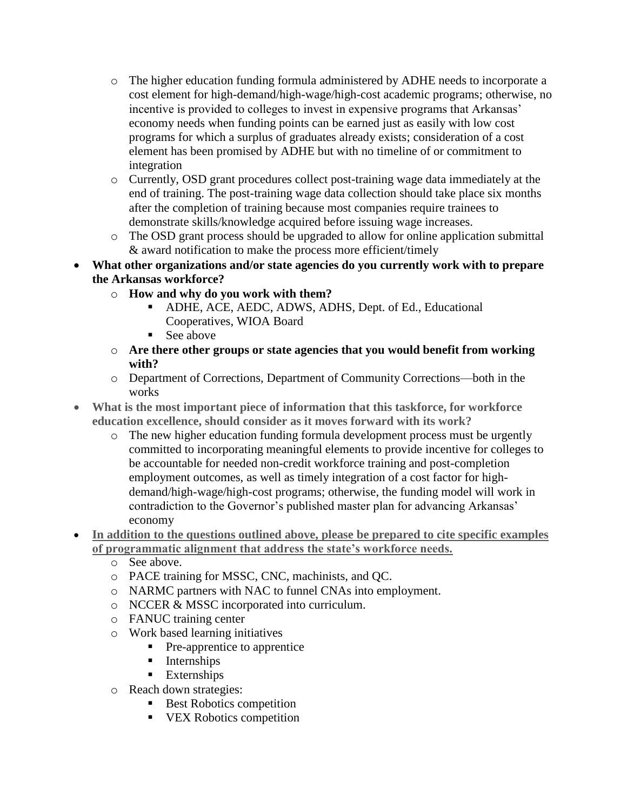- o The higher education funding formula administered by ADHE needs to incorporate a cost element for high-demand/high-wage/high-cost academic programs; otherwise, no incentive is provided to colleges to invest in expensive programs that Arkansas' economy needs when funding points can be earned just as easily with low cost programs for which a surplus of graduates already exists; consideration of a cost element has been promised by ADHE but with no timeline of or commitment to integration
- o Currently, OSD grant procedures collect post-training wage data immediately at the end of training. The post-training wage data collection should take place six months after the completion of training because most companies require trainees to demonstrate skills/knowledge acquired before issuing wage increases.
- o The OSD grant process should be upgraded to allow for online application submittal & award notification to make the process more efficient/timely

## **What other organizations and/or state agencies do you currently work with to prepare the Arkansas workforce?**

- o **How and why do you work with them?**
	- ADHE, ACE, AEDC, ADWS, ADHS, Dept. of Ed., Educational Cooperatives, WIOA Board
	- See above
- o **Are there other groups or state agencies that you would benefit from working with?**
- o Department of Corrections, Department of Community Corrections—both in the works
- **What is the most important piece of information that this taskforce, for workforce education excellence, should consider as it moves forward with its work?**
	- o The new higher education funding formula development process must be urgently committed to incorporating meaningful elements to provide incentive for colleges to be accountable for needed non-credit workforce training and post-completion employment outcomes, as well as timely integration of a cost factor for highdemand/high-wage/high-cost programs; otherwise, the funding model will work in contradiction to the Governor's published master plan for advancing Arkansas' economy
- **In addition to the questions outlined above, please be prepared to cite specific examples of programmatic alignment that address the state's workforce needs.**
	- o See above.
	- o PACE training for MSSC, CNC, machinists, and QC.
	- o NARMC partners with NAC to funnel CNAs into employment.
	- o NCCER & MSSC incorporated into curriculum.
	- o FANUC training center
	- o Work based learning initiatives
		- Pre-apprentice to apprentice
		- **Internships**
		- **Externships**
	- o Reach down strategies:
		- Best Robotics competition
		- **VEX Robotics competition**